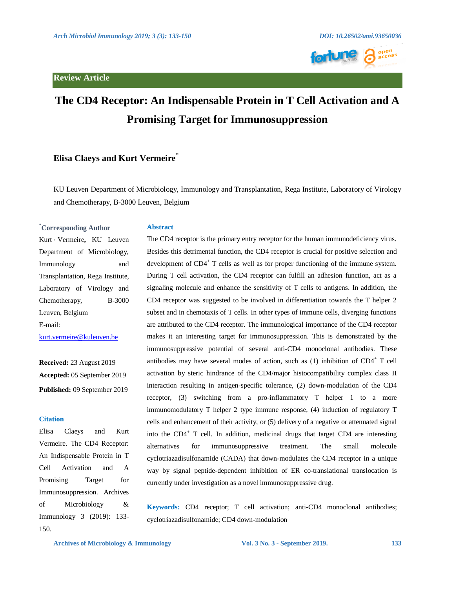



# **The CD4 Receptor: An Indispensable Protein in T Cell Activation and A Promising Target for Immunosuppression**

# **Elisa Claeys and Kurt Vermeire\***

KU Leuven Department of Microbiology, Immunology and Transplantation, Rega Institute, Laboratory of Virology and Chemotherapy, B-3000 Leuven, Belgium

#### **\*Corresponding Author**

. Kurt Vermeire**,** KU Leuven Department of Microbiology, Immunology and Transplantation, Rega Institute, Laboratory of Virology and Chemotherapy, B-3000 Leuven, Belgium E-mail: [kurt.vermeire@kuleuven.be](mailto:kurt.vermeire@kuleuven.be)

**Received:** 23 August 2019 **Accepted:** 05 September 2019 **Published:** 09 September 2019

#### **Citation**

Elisa Claeys and Kurt Vermeire. The CD4 Receptor: An Indispensable Protein in T Cell Activation and A Promising Target for Immunosuppression. Archives of Microbiology & Immunology 3 (2019): 133- 150.

## **Abstract**

The CD4 receptor is the primary entry receptor for the human immunodeficiency virus. Besides this detrimental function, the CD4 receptor is crucial for positive selection and development of CD4<sup>+</sup> T cells as well as for proper functioning of the immune system. During T cell activation, the CD4 receptor can fulfill an adhesion function, act as a signaling molecule and enhance the sensitivity of T cells to antigens. In addition, the CD4 receptor was suggested to be involved in differentiation towards the T helper 2 subset and in chemotaxis of T cells. In other types of immune cells, diverging functions are attributed to the CD4 receptor. The immunological importance of the CD4 receptor makes it an interesting target for immunosuppression. This is demonstrated by the immunosuppressive potential of several anti-CD4 monoclonal antibodies. These antibodies may have several modes of action, such as  $(1)$  inhibition of CD4<sup>+</sup> T cell activation by steric hindrance of the CD4/major histocompatibility complex class II interaction resulting in antigen-specific tolerance, (2) down-modulation of the CD4 receptor, (3) switching from a pro-inflammatory T helper 1 to a more immunomodulatory T helper 2 type immune response, (4) induction of regulatory T cells and enhancement of their activity, or (5) delivery of a negative or attenuated signal into the CD4<sup>+</sup> T cell. In addition, medicinal drugs that target CD4 are interesting alternatives for immunosuppressive treatment. The small molecule cyclotriazadisulfonamide (CADA) that down-modulates the CD4 receptor in a unique way by signal peptide-dependent inhibition of ER co-translational translocation is currently under investigation as a novel immunosuppressive drug.

**Keywords:** CD4 receptor; T cell activation; anti-CD4 monoclonal antibodies; cyclotriazadisulfonamide; CD4 down-modulation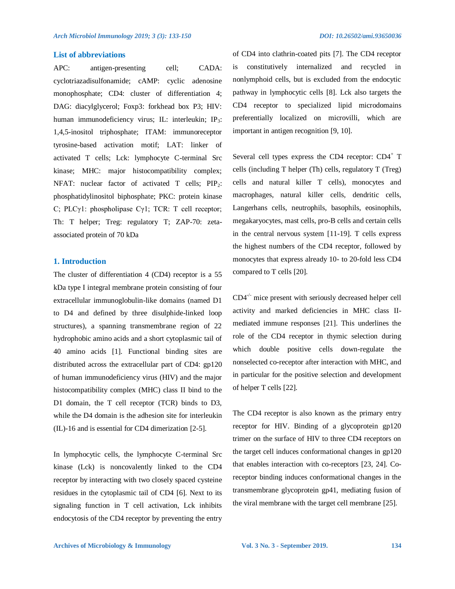## **List of abbreviations**

APC: antigen-presenting cell; CADA: cyclotriazadisulfonamide; cAMP: cyclic adenosine monophosphate; CD4: cluster of differentiation 4; DAG: diacylglycerol; Foxp3: forkhead box P3; HIV: human immunodeficiency virus; IL: interleukin; IP<sub>3</sub>: 1,4,5-inositol triphosphate; ITAM: immunoreceptor tyrosine-based activation motif; LAT: linker of activated T cells; Lck: lymphocyte C-terminal Src kinase; MHC: major histocompatibility complex; NFAT: nuclear factor of activated T cells; PIP<sub>2</sub>: phosphatidylinositol biphosphate; PKC: protein kinase C; PLCγ1: phospholipase Cγ1; TCR: T cell receptor; Th: T helper; Treg: regulatory T; ZAP-70: zetaassociated protein of 70 kDa

#### **1. Introduction**

The cluster of differentiation 4 (CD4) receptor is a 55 kDa type I integral membrane protein consisting of four extracellular immunoglobulin-like domains (named D1 to D4 and defined by three disulphide-linked loop structures), a spanning transmembrane region of 22 hydrophobic amino acids and a short cytoplasmic tail of 40 amino acids [1]. Functional binding sites are distributed across the extracellular part of CD4: gp120 of human immunodeficiency virus (HIV) and the major histocompatibility complex (MHC) class II bind to the D1 domain, the T cell receptor (TCR) binds to D3, while the D4 domain is the adhesion site for interleukin (IL)-16 and is essential for CD4 dimerization [2-5].

In lymphocytic cells, the lymphocyte C-terminal Src kinase (Lck) is noncovalently linked to the CD4 receptor by interacting with two closely spaced cysteine residues in the cytoplasmic tail of CD4 [6]. Next to its signaling function in T cell activation, Lck inhibits endocytosis of the CD4 receptor by preventing the entry

of CD4 into clathrin-coated pits [7]. The CD4 receptor is constitutively internalized and recycled in nonlymphoid cells, but is excluded from the endocytic pathway in lymphocytic cells [8]. Lck also targets the CD4 receptor to specialized lipid microdomains preferentially localized on microvilli, which are important in antigen recognition [9, 10].

Several cell types express the CD4 receptor:  $CD4^+$  T cells (including T helper (Th) cells, regulatory T (Treg) cells and natural killer T cells), monocytes and macrophages, natural killer cells, dendritic cells, Langerhans cells, neutrophils, basophils, eosinophils, megakaryocytes, mast cells, pro-B cells and certain cells in the central nervous system [11-19]. T cells express the highest numbers of the CD4 receptor, followed by monocytes that express already 10- to 20-fold less CD4 compared to T cells [20].

 $CD4^{-/-}$  mice present with seriously decreased helper cell activity and marked deficiencies in MHC class IImediated immune responses [21]. This underlines the role of the CD4 receptor in thymic selection during which double positive cells down-regulate the nonselected co-receptor after interaction with MHC, and in particular for the positive selection and development of helper T cells [22].

The CD4 receptor is also known as the primary entry receptor for HIV. Binding of a glycoprotein gp120 trimer on the surface of HIV to three CD4 receptors on the target cell induces conformational changes in gp120 that enables interaction with co-receptors [23, 24]. Coreceptor binding induces conformational changes in the transmembrane glycoprotein gp41, mediating fusion of the viral membrane with the target cell membrane [25].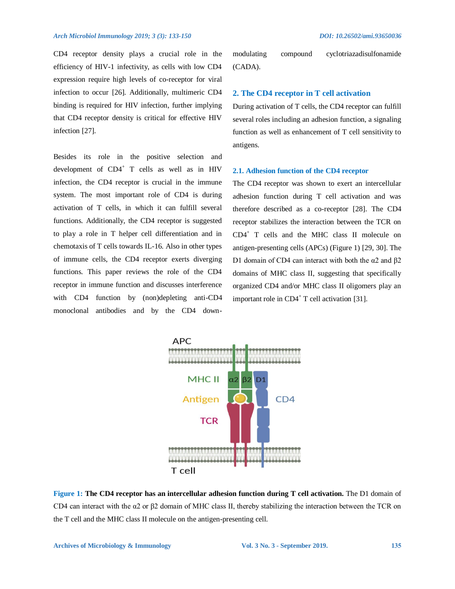CD4 receptor density plays a crucial role in the efficiency of HIV-1 infectivity, as cells with low CD4 expression require high levels of co-receptor for viral infection to occur [26]. Additionally, multimeric CD4 binding is required for HIV infection, further implying that CD4 receptor density is critical for effective HIV infection [27].

Besides its role in the positive selection and development of CD4<sup>+</sup> T cells as well as in HIV infection, the CD4 receptor is crucial in the immune system. The most important role of CD4 is during activation of T cells, in which it can fulfill several functions. Additionally, the CD4 receptor is suggested to play a role in T helper cell differentiation and in chemotaxis of T cells towards IL-16. Also in other types of immune cells, the CD4 receptor exerts diverging functions. This paper reviews the role of the CD4 receptor in immune function and discusses interference with CD4 function by (non)depleting anti-CD4 monoclonal antibodies and by the CD4 downmodulating compound cyclotriazadisulfonamide (CADA).

# **2. The CD4 receptor in T cell activation**

During activation of T cells, the CD4 receptor can fulfill several roles including an adhesion function, a signaling function as well as enhancement of T cell sensitivity to antigens.

#### **2.1. Adhesion function of the CD4 receptor**

The CD4 receptor was shown to exert an intercellular adhesion function during T cell activation and was therefore described as a co-receptor [28]. The CD4 receptor stabilizes the interaction between the TCR on CD4<sup>+</sup> T cells and the MHC class II molecule on antigen-presenting cells (APCs) (Figure 1) [29, 30]. The D1 domain of CD4 can interact with both the α2 and  $β2$ domains of MHC class II, suggesting that specifically organized CD4 and/or MHC class II oligomers play an important role in  $CD4^+$  T cell activation [31].



**Figure 1: The CD4 receptor has an intercellular adhesion function during T cell activation.** The D1 domain of CD4 can interact with the α2 or β2 domain of MHC class II, thereby stabilizing the interaction between the TCR on the T cell and the MHC class II molecule on the antigen-presenting cell.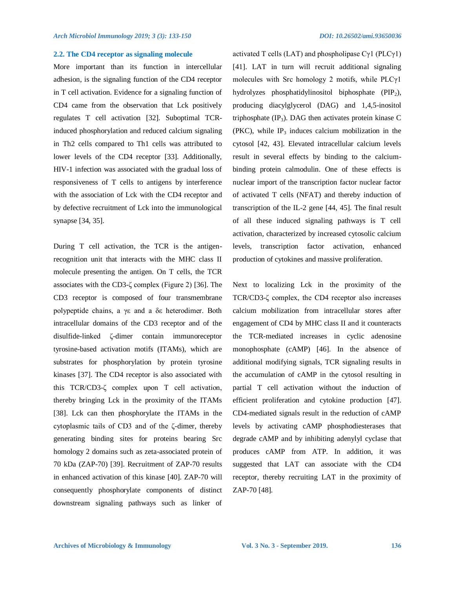## **2.2. The CD4 receptor as signaling molecule**

More important than its function in intercellular adhesion, is the signaling function of the CD4 receptor in T cell activation. Evidence for a signaling function of CD4 came from the observation that Lck positively regulates T cell activation [32]. Suboptimal TCRinduced phosphorylation and reduced calcium signaling in Th2 cells compared to Th1 cells was attributed to lower levels of the CD4 receptor [33]. Additionally, HIV-1 infection was associated with the gradual loss of responsiveness of T cells to antigens by interference with the association of Lck with the CD4 receptor and by defective recruitment of Lck into the immunological synapse [34, 35].

During T cell activation, the TCR is the antigenrecognition unit that interacts with the MHC class II molecule presenting the antigen. On T cells, the TCR associates with the CD3-ζ complex (Figure 2) [36]. The CD3 receptor is composed of four transmembrane polypeptide chains, a γε and a δε heterodimer. Both intracellular domains of the CD3 receptor and of the disulfide-linked ζ-dimer contain immunoreceptor tyrosine-based activation motifs (ITAMs), which are substrates for phosphorylation by protein tyrosine kinases [37]. The CD4 receptor is also associated with this TCR/CD3-ζ complex upon T cell activation, thereby bringing Lck in the proximity of the ITAMs [38]. Lck can then phosphorylate the ITAMs in the cytoplasmic tails of CD3 and of the ζ-dimer, thereby generating binding sites for proteins bearing Src homology 2 domains such as zeta-associated protein of 70 kDa (ZAP-70) [39]. Recruitment of ZAP-70 results in enhanced activation of this kinase [40]. ZAP-70 will consequently phosphorylate components of distinct downstream signaling pathways such as linker of activated T cells (LAT) and phospholipase Cγ1 (PLCγ1) [41]. LAT in turn will recruit additional signaling molecules with Src homology 2 motifs, while  $PLC\gamma1$ hydrolyzes phosphatidylinositol biphosphate  $(PIP_2)$ , producing diacylglycerol (DAG) and 1,4,5-inositol triphosphate  $(\text{IP}_3)$ . DAG then activates protein kinase C (PKC), while  $IP_3$  induces calcium mobilization in the cytosol [42, 43]. Elevated intracellular calcium levels result in several effects by binding to the calciumbinding protein calmodulin. One of these effects is nuclear import of the transcription factor nuclear factor of activated T cells (NFAT) and thereby induction of transcription of the IL-2 gene [44, 45]. The final result of all these induced signaling pathways is T cell activation, characterized by increased cytosolic calcium levels, transcription factor activation, enhanced production of cytokines and massive proliferation.

Next to localizing Lck in the proximity of the TCR/CD3-ζ complex, the CD4 receptor also increases calcium mobilization from intracellular stores after engagement of CD4 by MHC class II and it counteracts the TCR-mediated increases in cyclic adenosine monophosphate (cAMP) [46]. In the absence of additional modifying signals, TCR signaling results in the accumulation of cAMP in the cytosol resulting in partial T cell activation without the induction of efficient proliferation and cytokine production [47]. CD4-mediated signals result in the reduction of cAMP levels by activating cAMP phosphodiesterases that degrade cAMP and by inhibiting adenylyl cyclase that produces cAMP from ATP. In addition, it was suggested that LAT can associate with the CD4 receptor, thereby recruiting LAT in the proximity of ZAP-70 [48].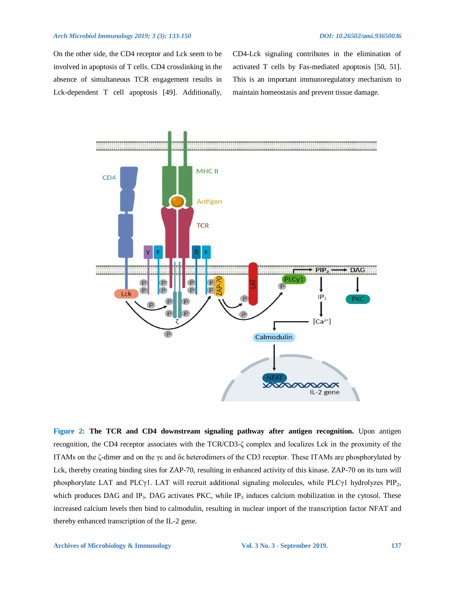On the other side, the CD4 receptor and Lck seem to be involved in apoptosis of T cells. CD4 crosslinking in the absence of simultaneous TCR engagement results in Lck-dependent T cell apoptosis [49]. Additionally,

CD4-Lck signaling contributes in the elimination of activated T cells by Fas-mediated apoptosis [50, 51]. This is an important immunoregulatory mechanism to maintain homeostasis and prevent tissue damage.



Figure 2: The TCR and CD4 downstream signaling pathway after antigen recognition. Upon antigen recognition, the CD4 receptor associates with the TCR/CD3-ζ complex and localizes Lck in the proximity of the ITAMs on the ζ-dimer and on the γε and δε heterodimers of the CD3 receptor. These ITAMs are phosphorylated by Lck, thereby creating binding sites for ZAP-70, resulting in enhanced activity of this kinase. ZAP-70 on its turn will phosphorylate LAT and PLCγ1. LAT will recruit additional signaling molecules, while PLCγ1 hydrolyzes PIP<sub>2</sub>, which produces DAG and IP<sub>3</sub>. DAG activates PKC, while IP<sub>3</sub> induces calcium mobilization in the cytosol. These increased calcium levels then bind to calmodulin, resulting in nuclear import of the transcription factor NFAT and thereby enhanced transcription of the IL-2 gene.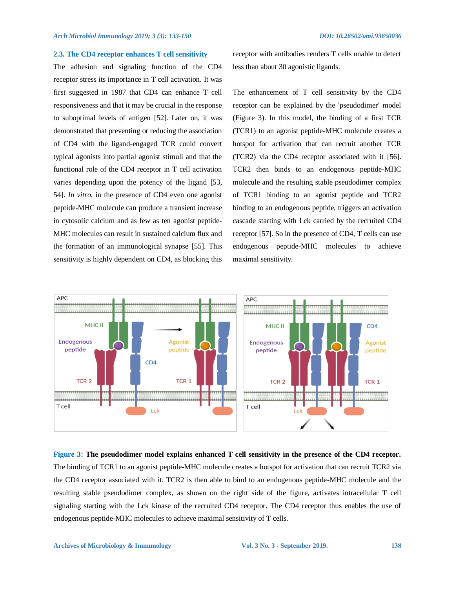#### **2.3. The CD4 receptor enhances T cell sensitivity**

The adhesion and signaling function of the CD4 receptor stress its importance in T cell activation. It was first suggested in 1987 that CD4 can enhance T cell responsiveness and that it may be crucial in the response to suboptimal levels of antigen [52]. Later on, it was demonstrated that preventing or reducing the association of CD4 with the ligand-engaged TCR could convert typical agonists into partial agonist stimuli and that the functional role of the CD4 receptor in T cell activation varies depending upon the potency of the ligand [53, 54]. *In vitro*, in the presence of CD4 even one agonist peptide-MHC molecule can produce a transient increase in cytosolic calcium and as few as ten agonist peptide-MHC molecules can result in sustained calcium flux and the formation of an immunological synapse [55]. This sensitivity is highly dependent on CD4, as blocking this receptor with antibodies renders T cells unable to detect less than about 30 agonistic ligands.

The enhancement of T cell sensitivity by the CD4 receptor can be explained by the 'pseudodimer' model (Figure 3). In this model, the binding of a first TCR (TCR1) to an agonist peptide-MHC molecule creates a hotspot for activation that can recruit another TCR (TCR2) via the CD4 receptor associated with it [56]. TCR2 then binds to an endogenous peptide-MHC molecule and the resulting stable pseudodimer complex of TCR1 binding to an agonist peptide and TCR2 binding to an endogenous peptide, triggers an activation cascade starting with Lck carried by the recruited CD4 receptor [57]. So in the presence of CD4, T cells can use endogenous peptide-MHC molecules to achieve maximal sensitivity.



**Figure 3: The pseudodimer model explains enhanced T cell sensitivity in the presence of the CD4 receptor.**  The binding of TCR1 to an agonist peptide-MHC molecule creates a hotspot for activation that can recruit TCR2 via the CD4 receptor associated with it. TCR2 is then able to bind to an endogenous peptide-MHC molecule and the resulting stable pseudodimer complex, as shown on the right side of the figure, activates intracellular T cell signaling starting with the Lck kinase of the recruited CD4 receptor. The CD4 receptor thus enables the use of endogenous peptide-MHC molecules to achieve maximal sensitivity of T cells.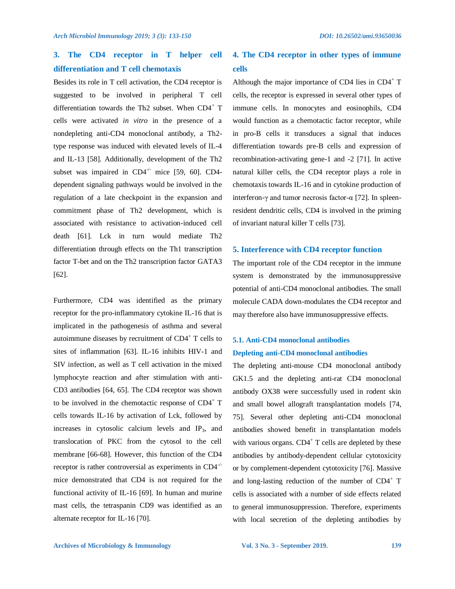# **3. The CD4 receptor in T helper cell differentiation and T cell chemotaxis**

Besides its role in T cell activation, the CD4 receptor is suggested to be involved in peripheral T cell differentiation towards the Th2 subset. When  $CD4^+$  T cells were activated *in vitro* in the presence of a nondepleting anti-CD4 monoclonal antibody, a Th2 type response was induced with elevated levels of IL-4 and IL-13 [58]. Additionally, development of the Th2 subset was impaired in  $CD4^{-/-}$  mice [59, 60]. CD4dependent signaling pathways would be involved in the regulation of a late checkpoint in the expansion and commitment phase of Th2 development, which is associated with resistance to activation-induced cell death [61]. Lck in turn would mediate Th2 differentiation through effects on the Th1 transcription factor T-bet and on the Th2 transcription factor GATA3 [62].

Furthermore, CD4 was identified as the primary receptor for the pro-inflammatory cytokine IL-16 that is implicated in the pathogenesis of asthma and several autoimmune diseases by recruitment of CD4<sup>+</sup> T cells to sites of inflammation [63]. IL-16 inhibits HIV-1 and SIV infection, as well as T cell activation in the mixed lymphocyte reaction and after stimulation with anti-CD3 antibodies [64, 65]. The CD4 receptor was shown to be involved in the chemotactic response of  $CD4^+$  T cells towards IL-16 by activation of Lck, followed by increases in cytosolic calcium levels and IP3, and translocation of PKC from the cytosol to the cell membrane [66-68]. However, this function of the CD4 receptor is rather controversial as experiments in CD4-/ mice demonstrated that CD4 is not required for the functional activity of IL-16 [69]. In human and murine mast cells, the tetraspanin CD9 was identified as an alternate receptor for IL-16 [70].

# **4. The CD4 receptor in other types of immune cells**

Although the major importance of CD4 lies in  $CD4^+$  T cells, the receptor is expressed in several other types of immune cells. In monocytes and eosinophils, CD4 would function as a chemotactic factor receptor, while in pro-B cells it transduces a signal that induces differentiation towards pre-B cells and expression of recombination-activating gene-1 and -2 [71]. In active natural killer cells, the CD4 receptor plays a role in chemotaxis towards IL-16 and in cytokine production of interferon-γ and tumor necrosis factor-α [72]. In spleenresident dendritic cells, CD4 is involved in the priming of invariant natural killer T cells [73].

## **5. Interference with CD4 receptor function**

The important role of the CD4 receptor in the immune system is demonstrated by the immunosuppressive potential of anti-CD4 monoclonal antibodies. The small molecule CADA down-modulates the CD4 receptor and may therefore also have immunosuppressive effects.

# **5.1. Anti-CD4 monoclonal antibodies Depleting anti-CD4 monoclonal antibodies**

The depleting anti-mouse CD4 monoclonal antibody GK1.5 and the depleting anti-rat CD4 monoclonal antibody OX38 were successfully used in rodent skin and small bowel allograft transplantation models [74, 75]. Several other depleting anti-CD4 monoclonal antibodies showed benefit in transplantation models with various organs.  $CD4^+$  T cells are depleted by these antibodies by antibody-dependent cellular cytotoxicity or by complement-dependent cytotoxicity [76]. Massive and long-lasting reduction of the number of CD4<sup>+</sup> T cells is associated with a number of side effects related to general immunosuppression. Therefore, experiments with local secretion of the depleting antibodies by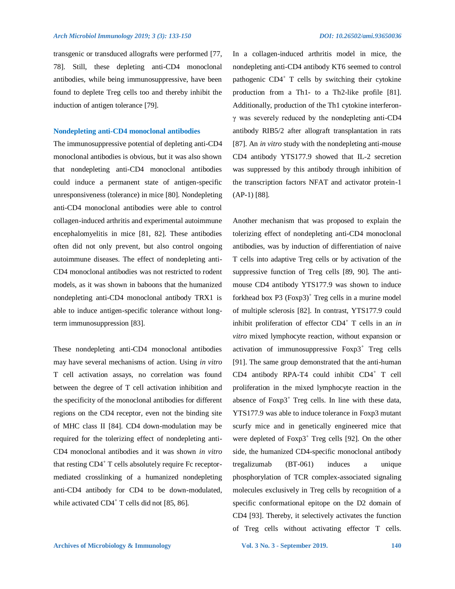transgenic or transduced allografts were performed [77, 78]. Still, these depleting anti-CD4 monoclonal antibodies, while being immunosuppressive, have been found to deplete Treg cells too and thereby inhibit the induction of antigen tolerance [79].

#### **Nondepleting anti-CD4 monoclonal antibodies**

The immunosuppressive potential of depleting anti-CD4 monoclonal antibodies is obvious, but it was also shown that nondepleting anti-CD4 monoclonal antibodies could induce a permanent state of antigen-specific unresponsiveness (tolerance) in mice [80]. Nondepleting anti-CD4 monoclonal antibodies were able to control collagen-induced arthritis and experimental autoimmune encephalomyelitis in mice [81, 82]. These antibodies often did not only prevent, but also control ongoing autoimmune diseases. The effect of nondepleting anti-CD4 monoclonal antibodies was not restricted to rodent models, as it was shown in baboons that the humanized nondepleting anti-CD4 monoclonal antibody TRX1 is able to induce antigen-specific tolerance without longterm immunosuppression [83].

These nondepleting anti-CD4 monoclonal antibodies may have several mechanisms of action. Using *in vitro* T cell activation assays, no correlation was found between the degree of T cell activation inhibition and the specificity of the monoclonal antibodies for different regions on the CD4 receptor, even not the binding site of MHC class II [84]. CD4 down-modulation may be required for the tolerizing effect of nondepleting anti-CD4 monoclonal antibodies and it was shown *in vitro*  that resting CD4<sup>+</sup> T cells absolutely require Fc receptormediated crosslinking of a humanized nondepleting anti-CD4 antibody for CD4 to be down-modulated, while activated  $CD4^+$  T cells did not [85, 86].

nondepleting anti-CD4 antibody KT6 seemed to control pathogenic CD4<sup>+</sup> T cells by switching their cytokine production from a Th1- to a Th2-like profile [81]. Additionally, production of the Th1 cytokine interferonγ was severely reduced by the nondepleting anti-CD4 antibody RIB5/2 after allograft transplantation in rats [87]. An *in vitro* study with the nondepleting anti-mouse CD4 antibody YTS177.9 showed that IL-2 secretion was suppressed by this antibody through inhibition of the transcription factors NFAT and activator protein-1 (AP-1) [88].

In a collagen-induced arthritis model in mice, the

Another mechanism that was proposed to explain the tolerizing effect of nondepleting anti-CD4 monoclonal antibodies, was by induction of differentiation of naive T cells into adaptive Treg cells or by activation of the suppressive function of Treg cells [89, 90]. The antimouse CD4 antibody YTS177.9 was shown to induce forkhead box  $P3$  (Foxp3)<sup>+</sup> Treg cells in a murine model of multiple sclerosis [82]. In contrast, YTS177.9 could inhibit proliferation of effector CD4<sup>+</sup> T cells in an *in vitro* mixed lymphocyte reaction, without expansion or activation of immunosuppressive  $F\text{o}xp3^+$  Treg cells [91]. The same group demonstrated that the anti-human CD4 antibody RPA-T4 could inhibit CD4<sup>+</sup> T cell proliferation in the mixed lymphocyte reaction in the absence of  $F\text{oxp3}^+$  Treg cells. In line with these data, YTS177.9 was able to induce tolerance in Foxp3 mutant scurfy mice and in genetically engineered mice that were depleted of  $F\text{oxp3}^+$  Treg cells [92]. On the other side, the humanized CD4-specific monoclonal antibody tregalizumab (BT-061) induces a unique phosphorylation of TCR complex-associated signaling molecules exclusively in Treg cells by recognition of a specific conformational epitope on the D2 domain of CD4 [93]. Thereby, it selectively activates the function of Treg cells without activating effector T cells.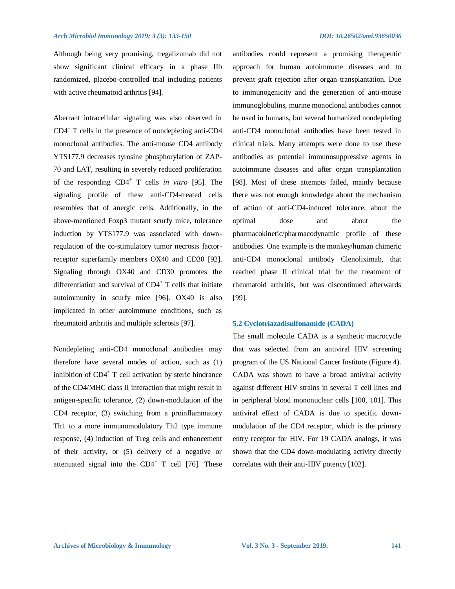Although being very promising, tregalizumab did not show significant clinical efficacy in a phase IIb randomized, placebo-controlled trial including patients with active rheumatoid arthritis [94].

Aberrant intracellular signaling was also observed in CD4<sup>+</sup> T cells in the presence of nondepleting anti-CD4 monoclonal antibodies. The anti-mouse CD4 antibody YTS177.9 decreases tyrosine phosphorylation of ZAP-70 and LAT, resulting in severely reduced proliferation of the responding CD4<sup>+</sup> T cells *in vitro* [95]. The signaling profile of these anti-CD4-treated cells resembles that of anergic cells. Additionally, in the above-mentioned Foxp3 mutant scurfy mice, tolerance induction by YTS177.9 was associated with downregulation of the co-stimulatory tumor necrosis factorreceptor superfamily members OX40 and CD30 [92]. Signaling through OX40 and CD30 promotes the differentiation and survival of CD4<sup>+</sup> T cells that initiate autoimmunity in scurfy mice [96]. OX40 is also implicated in other autoimmune conditions, such as rheumatoid arthritis and multiple sclerosis [97].

Nondepleting anti-CD4 monoclonal antibodies may therefore have several modes of action, such as (1) inhibition of CD4<sup>+</sup> T cell activation by steric hindrance of the CD4/MHC class II interaction that might result in antigen-specific tolerance, (2) down-modulation of the CD4 receptor, (3) switching from a proinflammatory Th1 to a more immunomodulatory Th2 type immune response, (4) induction of Treg cells and enhancement of their activity, or (5) delivery of a negative or attenuated signal into the  $CD4^+$  T cell [76]. These antibodies could represent a promising therapeutic approach for human autoimmune diseases and to prevent graft rejection after organ transplantation. Due to immunogenicity and the generation of anti-mouse immunoglobulins, murine monoclonal antibodies cannot be used in humans, but several humanized nondepleting anti-CD4 monoclonal antibodies have been tested in clinical trials. Many attempts were done to use these antibodies as potential immunosuppressive agents in autoimmune diseases and after organ transplantation [98]. Most of these attempts failed, mainly because there was not enough knowledge about the mechanism of action of anti-CD4-induced tolerance, about the optimal dose and about the pharmacokinetic/pharmacodynamic profile of these antibodies. One example is the monkey/human chimeric anti-CD4 monoclonal antibody Clenoliximab, that reached phase II clinical trial for the treatment of rheumatoid arthritis, but was discontinued afterwards [99].

#### **5.2 Cyclotriazadisulfonamide (CADA)**

The small molecule CADA is a synthetic macrocycle that was selected from an antiviral HIV screening program of the US National Cancer Institute (Figure 4). CADA was shown to have a broad antiviral activity against different HIV strains in several T cell lines and in peripheral blood mononuclear cells [100, 101]. This antiviral effect of CADA is due to specific downmodulation of the CD4 receptor, which is the primary entry receptor for HIV. For 19 CADA analogs, it was shown that the CD4 down-modulating activity directly correlates with their anti-HIV potency [102].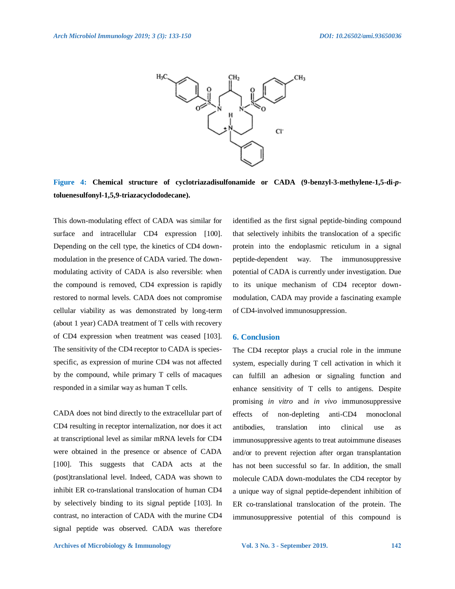

**Figure 4: Chemical structure of cyclotriazadisulfonamide or CADA (9-benzyl-3-methylene-1,5-di-***p***toluenesulfonyl-1,5,9-triazacyclododecane).** 

This down-modulating effect of CADA was similar for surface and intracellular CD4 expression [100]. Depending on the cell type, the kinetics of CD4 downmodulation in the presence of CADA varied. The downmodulating activity of CADA is also reversible: when the compound is removed, CD4 expression is rapidly restored to normal levels. CADA does not compromise cellular viability as was demonstrated by long-term (about 1 year) CADA treatment of T cells with recovery of CD4 expression when treatment was ceased [103]. The sensitivity of the CD4 receptor to CADA is speciesspecific, as expression of murine CD4 was not affected by the compound, while primary T cells of macaques responded in a similar way as human T cells.

CADA does not bind directly to the extracellular part of CD4 resulting in receptor internalization, nor does it act at transcriptional level as similar mRNA levels for CD4 were obtained in the presence or absence of CADA [100]. This suggests that CADA acts at the (post)translational level. Indeed, CADA was shown to inhibit ER co-translational translocation of human CD4 by selectively binding to its signal peptide [103]. In contrast, no interaction of CADA with the murine CD4 signal peptide was observed. CADA was therefore identified as the first signal peptide-binding compound that selectively inhibits the translocation of a specific protein into the endoplasmic reticulum in a signal peptide-dependent way. The immunosuppressive potential of CADA is currently under investigation. Due to its unique mechanism of CD4 receptor downmodulation, CADA may provide a fascinating example of CD4-involved immunosuppression.

#### **6. Conclusion**

The CD4 receptor plays a crucial role in the immune system, especially during T cell activation in which it can fulfill an adhesion or signaling function and enhance sensitivity of T cells to antigens. Despite promising *in vitro* and *in vivo* immunosuppressive effects of non-depleting anti-CD4 monoclonal antibodies, translation into clinical use as immunosuppressive agents to treat autoimmune diseases and/or to prevent rejection after organ transplantation has not been successful so far. In addition, the small molecule CADA down-modulates the CD4 receptor by a unique way of signal peptide-dependent inhibition of ER co-translational translocation of the protein. The immunosuppressive potential of this compound is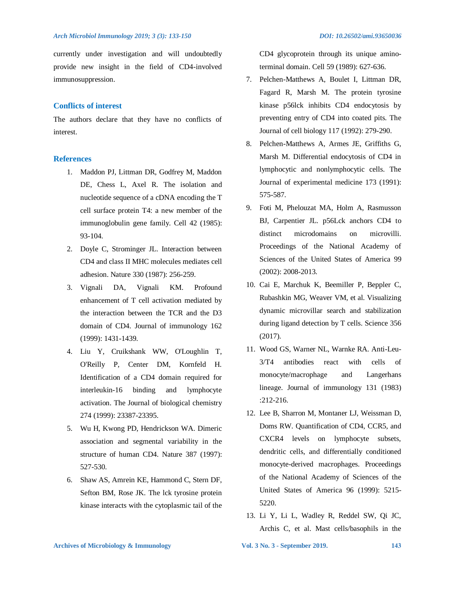currently under investigation and will undoubtedly provide new insight in the field of CD4-involved immunosuppression.

## **Conflicts of interest**

The authors declare that they have no conflicts of interest.

## **References**

- 1. Maddon PJ, Littman DR, Godfrey M, Maddon DE, Chess L, Axel R. The isolation and nucleotide sequence of a cDNA encoding the T cell surface protein T4: a new member of the immunoglobulin gene family. Cell 42 (1985): 93-104.
- 2. Doyle C, Strominger JL. Interaction between CD4 and class II MHC molecules mediates cell adhesion. Nature 330 (1987): 256-259.
- 3. Vignali DA, Vignali KM. Profound enhancement of T cell activation mediated by the interaction between the TCR and the D3 domain of CD4. Journal of immunology 162 (1999): 1431-1439.
- 4. Liu Y, Cruikshank WW, O'Loughlin T, O'Reilly P, Center DM, Kornfeld H. Identification of a CD4 domain required for interleukin-16 binding and lymphocyte activation. The Journal of biological chemistry 274 (1999): 23387-23395.
- 5. Wu H, Kwong PD, Hendrickson WA. Dimeric association and segmental variability in the structure of human CD4. Nature 387 (1997): 527-530.
- 6. Shaw AS, Amrein KE, Hammond C, Stern DF, Sefton BM, Rose JK. The lck tyrosine protein kinase interacts with the cytoplasmic tail of the

CD4 glycoprotein through its unique aminoterminal domain. Cell 59 (1989): 627-636.

- 7. Pelchen-Matthews A, Boulet I, Littman DR, Fagard R, Marsh M. The protein tyrosine kinase p56lck inhibits CD4 endocytosis by preventing entry of CD4 into coated pits. The Journal of cell biology 117 (1992): 279-290.
- 8. Pelchen-Matthews A, Armes JE, Griffiths G, Marsh M. Differential endocytosis of CD4 in lymphocytic and nonlymphocytic cells. The Journal of experimental medicine 173 (1991): 575-587.
- 9. Foti M, Phelouzat MA, Holm A, Rasmusson BJ, Carpentier JL. p56Lck anchors CD4 to distinct microdomains on microvilli. Proceedings of the National Academy of Sciences of the United States of America 99 (2002): 2008-2013.
- 10. Cai E, Marchuk K, Beemiller P, Beppler C, Rubashkin MG, Weaver VM, et al. Visualizing dynamic microvillar search and stabilization during ligand detection by T cells. Science 356 (2017).
- 11. Wood GS, Warner NL, Warnke RA. Anti-Leu-3/T4 antibodies react with cells of monocyte/macrophage and Langerhans lineage. Journal of immunology 131 (1983) :212-216.
- 12. Lee B, Sharron M, Montaner LJ, Weissman D, Doms RW. Quantification of CD4, CCR5, and CXCR4 levels on lymphocyte subsets, dendritic cells, and differentially conditioned monocyte-derived macrophages. Proceedings of the National Academy of Sciences of the United States of America 96 (1999): 5215- 5220.
- 13. Li Y, Li L, Wadley R, Reddel SW, Qi JC, Archis C, et al. Mast cells/basophils in the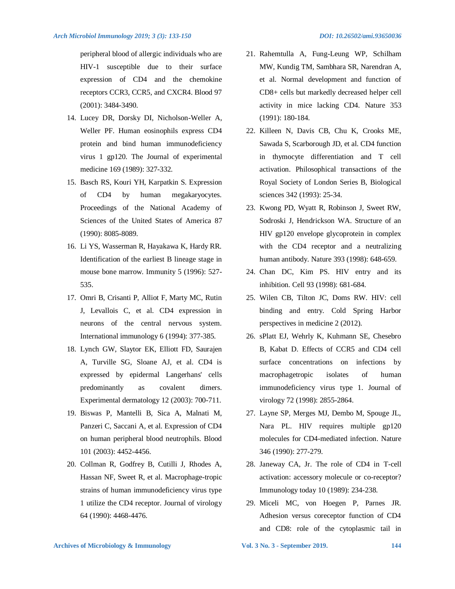peripheral blood of allergic individuals who are HIV-1 susceptible due to their surface expression of CD4 and the chemokine receptors CCR3, CCR5, and CXCR4. Blood 97 (2001): 3484-3490.

- 14. Lucey DR, Dorsky DI, Nicholson-Weller A, Weller PF. Human eosinophils express CD4 protein and bind human immunodeficiency virus 1 gp120. The Journal of experimental medicine 169 (1989): 327-332.
- 15. Basch RS, Kouri YH, Karpatkin S. Expression of CD4 by human megakaryocytes. Proceedings of the National Academy of Sciences of the United States of America 87 (1990): 8085-8089.
- 16. Li YS, Wasserman R, Hayakawa K, Hardy RR. Identification of the earliest B lineage stage in mouse bone marrow. Immunity 5 (1996): 527- 535.
- 17. Omri B, Crisanti P, Alliot F, Marty MC, Rutin J, Levallois C, et al. CD4 expression in neurons of the central nervous system. International immunology 6 (1994): 377-385.
- 18. Lynch GW, Slaytor EK, Elliott FD, Saurajen A, Turville SG, Sloane AJ, et al. CD4 is expressed by epidermal Langerhans' cells predominantly as covalent dimers. Experimental dermatology 12 (2003): 700-711.
- 19. Biswas P, Mantelli B, Sica A, Malnati M, Panzeri C, Saccani A, et al. Expression of CD4 on human peripheral blood neutrophils. Blood 101 (2003): 4452-4456.
- 20. Collman R, Godfrey B, Cutilli J, Rhodes A, Hassan NF, Sweet R, et al. Macrophage-tropic strains of human immunodeficiency virus type 1 utilize the CD4 receptor. Journal of virology 64 (1990): 4468-4476.
- 21. Rahemtulla A, Fung-Leung WP, Schilham MW, Kundig TM, Sambhara SR, Narendran A, et al. Normal development and function of CD8+ cells but markedly decreased helper cell activity in mice lacking CD4. Nature 353 (1991): 180-184.
- 22. Killeen N, Davis CB, Chu K, Crooks ME, Sawada S, Scarborough JD, et al. CD4 function in thymocyte differentiation and T cell activation. Philosophical transactions of the Royal Society of London Series B, Biological sciences 342 (1993): 25-34.
- 23. Kwong PD, Wyatt R, Robinson J, Sweet RW, Sodroski J, Hendrickson WA. Structure of an HIV gp120 envelope glycoprotein in complex with the CD4 receptor and a neutralizing human antibody. Nature 393 (1998): 648-659.
- 24. Chan DC, Kim PS. HIV entry and its inhibition. Cell 93 (1998): 681-684.
- 25. Wilen CB, Tilton JC, Doms RW. HIV: cell binding and entry. Cold Spring Harbor perspectives in medicine 2 (2012).
- 26. sPlatt EJ, Wehrly K, Kuhmann SE, Chesebro B, Kabat D. Effects of CCR5 and CD4 cell surface concentrations on infections by macrophagetropic isolates of human immunodeficiency virus type 1. Journal of virology 72 (1998): 2855-2864.
- 27. Layne SP, Merges MJ, Dembo M, Spouge JL, Nara PL. HIV requires multiple gp120 molecules for CD4-mediated infection. Nature 346 (1990): 277-279.
- 28. Janeway CA, Jr. The role of CD4 in T-cell activation: accessory molecule or co-receptor? Immunology today 10 (1989): 234-238.
- 29. Miceli MC, von Hoegen P, Parnes JR. Adhesion versus coreceptor function of CD4 and CD8: role of the cytoplasmic tail in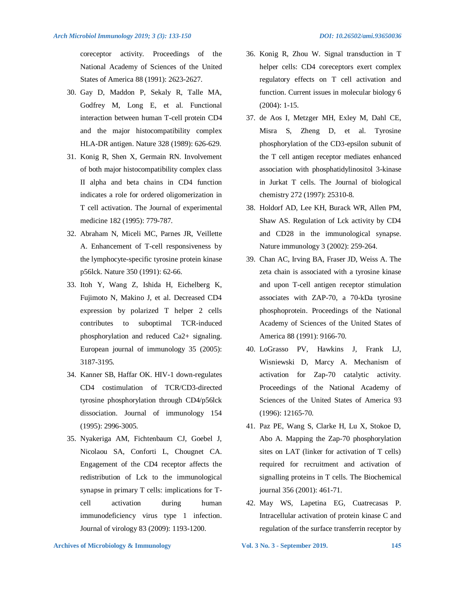coreceptor activity. Proceedings of the National Academy of Sciences of the United States of America 88 (1991): 2623-2627.

- 30. Gay D, Maddon P, Sekaly R, Talle MA, Godfrey M, Long E, et al. Functional interaction between human T-cell protein CD4 and the major histocompatibility complex HLA-DR antigen. Nature 328 (1989): 626-629.
- 31. Konig R, Shen X, Germain RN. Involvement of both major histocompatibility complex class II alpha and beta chains in CD4 function indicates a role for ordered oligomerization in T cell activation. The Journal of experimental medicine 182 (1995): 779-787.
- 32. Abraham N, Miceli MC, Parnes JR, Veillette A. Enhancement of T-cell responsiveness by the lymphocyte-specific tyrosine protein kinase p56lck. Nature 350 (1991): 62-66.
- 33. Itoh Y, Wang Z, Ishida H, Eichelberg K, Fujimoto N, Makino J, et al. Decreased CD4 expression by polarized T helper 2 cells contributes to suboptimal TCR-induced phosphorylation and reduced Ca2+ signaling. European journal of immunology 35 (2005): 3187-3195.
- 34. Kanner SB, Haffar OK. HIV-1 down-regulates CD4 costimulation of TCR/CD3-directed tyrosine phosphorylation through CD4/p56lck dissociation. Journal of immunology 154 (1995): 2996-3005.
- 35. Nyakeriga AM, Fichtenbaum CJ, Goebel J, Nicolaou SA, Conforti L, Chougnet CA. Engagement of the CD4 receptor affects the redistribution of Lck to the immunological synapse in primary T cells: implications for Tcell activation during human immunodeficiency virus type 1 infection. Journal of virology 83 (2009): 1193-1200.
- 36. Konig R, Zhou W. Signal transduction in T
- helper cells: CD4 coreceptors exert complex regulatory effects on T cell activation and function. Current issues in molecular biology 6 (2004): 1-15.
- 37. de Aos I, Metzger MH, Exley M, Dahl CE, Misra S, Zheng D, et al. Tyrosine phosphorylation of the CD3-epsilon subunit of the T cell antigen receptor mediates enhanced association with phosphatidylinositol 3-kinase in Jurkat T cells. The Journal of biological chemistry 272 (1997): 25310-8.
- 38. Holdorf AD, Lee KH, Burack WR, Allen PM, Shaw AS. Regulation of Lck activity by CD4 and CD28 in the immunological synapse. Nature immunology 3 (2002): 259-264.
- 39. Chan AC, Irving BA, Fraser JD, Weiss A. The zeta chain is associated with a tyrosine kinase and upon T-cell antigen receptor stimulation associates with ZAP-70, a 70-kDa tyrosine phosphoprotein. Proceedings of the National Academy of Sciences of the United States of America 88 (1991): 9166-70.
- 40. LoGrasso PV, Hawkins J, Frank LJ, Wisniewski D, Marcy A. Mechanism of activation for Zap-70 catalytic activity. Proceedings of the National Academy of Sciences of the United States of America 93 (1996): 12165-70.
- 41. Paz PE, Wang S, Clarke H, Lu X, Stokoe D, Abo A. Mapping the Zap-70 phosphorylation sites on LAT (linker for activation of T cells) required for recruitment and activation of signalling proteins in T cells. The Biochemical journal 356 (2001): 461-71.
- 42. May WS, Lapetina EG, Cuatrecasas P. Intracellular activation of protein kinase C and regulation of the surface transferrin receptor by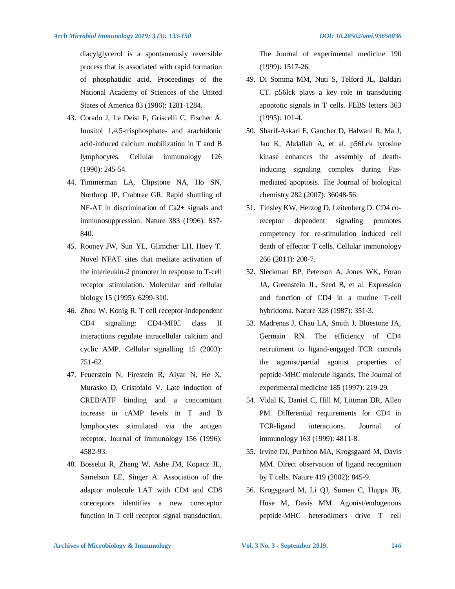diacylglycerol is a spontaneously reversible process that is associated with rapid formation of phosphatidic acid. Proceedings of the National Academy of Sciences of the United States of America 83 (1986): 1281-1284.

- 43. Corado J, Le Deist F, Griscelli C, Fischer A. Inositol 1,4,5-trisphosphate- and arachidonic acid-induced calcium mobilization in T and B lymphocytes. Cellular immunology 126 (1990): 245-54.
- 44. Timmerman LA, Clipstone NA, Ho SN, Northrop JP, Crabtree GR. Rapid shuttling of NF-AT in discrimination of Ca2+ signals and immunosuppression. Nature 383 (1996): 837- 840.
- 45. Rooney JW, Sun YL, Glimcher LH, Hoey T. Novel NFAT sites that mediate activation of the interleukin-2 promoter in response to T-cell receptor stimulation. Molecular and cellular biology 15 (1995): 6299-310.
- 46. Zhou W, Konig R. T cell receptor-independent CD4 signalling: CD4-MHC class II interactions regulate intracellular calcium and cyclic AMP. Cellular signalling 15 (2003): 751-62.
- 47. Feuerstein N, Firestein R, Aiyar N, He X, Murasko D, Cristofalo V. Late induction of CREB/ATF binding and a concomitant increase in cAMP levels in T and B lymphocytes stimulated via the antigen receptor. Journal of immunology 156 (1996): 4582-93.
- 48. Bosselut R, Zhang W, Ashe JM, Kopacz JL, Samelson LE, Singer A. Association of the adaptor molecule LAT with CD4 and CD8 coreceptors identifies a new coreceptor function in T cell receptor signal transduction.

The Journal of experimental medicine 190 (1999): 1517-26.

- 49. Di Somma MM, Nuti S, Telford JL, Baldari CT. p56lck plays a key role in transducing apoptotic signals in T cells. FEBS letters 363 (1995): 101-4.
- 50. Sharif-Askari E, Gaucher D, Halwani R, Ma J, Jao K, Abdallah A, et al. p56Lck tyrosine kinase enhances the assembly of deathinducing signaling complex during Fasmediated apoptosis. The Journal of biological chemistry 282 (2007): 36048-56.
- 51. Tinsley KW, Herzog D, Leitenberg D. CD4 coreceptor dependent signaling promotes competency for re-stimulation induced cell death of effector T cells. Cellular immunology 266 (2011): 200-7.
- 52. Sleckman BP, Peterson A, Jones WK, Foran JA, Greenstein JL, Seed B, et al. Expression and function of CD4 in a murine T-cell hybridoma. Nature 328 (1987): 351-3.
- 53. Madrenas J, Chau LA, Smith J, Bluestone JA, Germain RN. The efficiency of CD4 recruitment to ligand-engaged TCR controls the agonist/partial agonist properties of peptide-MHC molecule ligands. The Journal of experimental medicine 185 (1997): 219-29.
- 54. Vidal K, Daniel C, Hill M, Littman DR, Allen PM. Differential requirements for CD4 in TCR-ligand interactions. Journal of immunology 163 (1999): 4811-8.
- 55. Irvine DJ, Purbhoo MA, Krogsgaard M, Davis MM. Direct observation of ligand recognition by T cells. Nature 419 (2002): 845-9.
- 56. Krogsgaard M, Li QJ, Sumen C, Huppa JB, Huse M, Davis MM. Agonist/endogenous peptide-MHC heterodimers drive T cell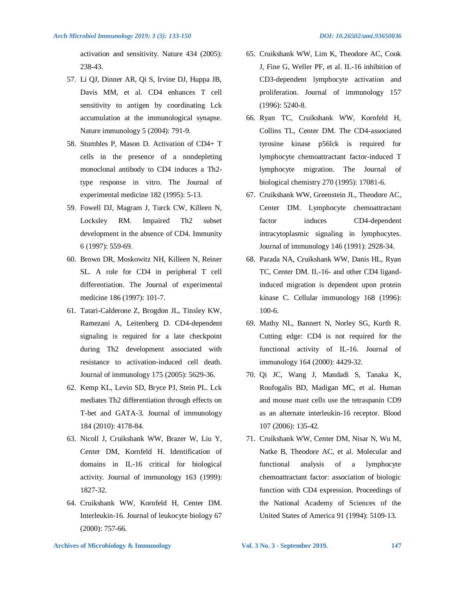activation and sensitivity. Nature 434 (2005): 238-43.

- 57. Li QJ, Dinner AR, Qi S, Irvine DJ, Huppa JB, Davis MM, et al. CD4 enhances T cell sensitivity to antigen by coordinating Lck accumulation at the immunological synapse. Nature immunology 5 (2004): 791-9.
- 58. Stumbles P, Mason D. Activation of CD4+ T cells in the presence of a nondepleting monoclonal antibody to CD4 induces a Th2 type response in vitro. The Journal of experimental medicine 182 (1995): 5-13.
- 59. Fowell DJ, Magram J, Turck CW, Killeen N, Locksley RM. Impaired Th2 subset development in the absence of CD4. Immunity 6 (1997): 559-69.
- 60. Brown DR, Moskowitz NH, Killeen N, Reiner SL. A role for CD4 in peripheral T cell differentiation. The Journal of experimental medicine 186 (1997): 101-7.
- 61. Tatari-Calderone Z, Brogdon JL, Tinsley KW, Ramezani A, Leitenberg D. CD4-dependent signaling is required for a late checkpoint during Th2 development associated with resistance to activation-induced cell death. Journal of immunology 175 (2005): 5629-36.
- 62. Kemp KL, Levin SD, Bryce PJ, Stein PL. Lck mediates Th2 differentiation through effects on T-bet and GATA-3. Journal of immunology 184 (2010): 4178-84.
- 63. Nicoll J, Cruikshank WW, Brazer W, Liu Y, Center DM, Kornfeld H. Identification of domains in IL-16 critical for biological activity. Journal of immunology 163 (1999): 1827-32.
- 64. Cruikshank WW, Kornfeld H, Center DM. Interleukin-16. Journal of leukocyte biology 67 (2000): 757-66.
- 65. Cruikshank WW, Lim K, Theodore AC, Cook J, Fine G, Weller PF, et al. IL-16 inhibition of CD3-dependent lymphocyte activation and proliferation. Journal of immunology 157 (1996): 5240-8.
- 66. Ryan TC, Cruikshank WW, Kornfeld H, Collins TL, Center DM. The CD4-associated tyrosine kinase p56lck is required for lymphocyte chemoattractant factor-induced T lymphocyte migration. The Journal of biological chemistry 270 (1995): 17081-6.
- 67. Cruikshank WW, Greenstein JL, Theodore AC, Center DM. Lymphocyte chemoattractant factor induces CD4-dependent intracytoplasmic signaling in lymphocytes. Journal of immunology 146 (1991): 2928-34.
- 68. Parada NA, Cruikshank WW, Danis HL, Ryan TC, Center DM. IL-16- and other CD4 ligandinduced migration is dependent upon protein kinase C. Cellular immunology 168 (1996): 100-6.
- 69. Mathy NL, Bannert N, Norley SG, Kurth R. Cutting edge: CD4 is not required for the functional activity of IL-16. Journal of immunology 164 (2000): 4429-32.
- 70. Qi JC, Wang J, Mandadi S, Tanaka K, Roufogalis BD, Madigan MC, et al. Human and mouse mast cells use the tetraspanin CD9 as an alternate interleukin-16 receptor. Blood 107 (2006): 135-42.
- 71. Cruikshank WW, Center DM, Nisar N, Wu M, Natke B, Theodore AC, et al. Molecular and functional analysis of a lymphocyte chemoattractant factor: association of biologic function with CD4 expression. Proceedings of the National Academy of Sciences of the United States of America 91 (1994): 5109-13.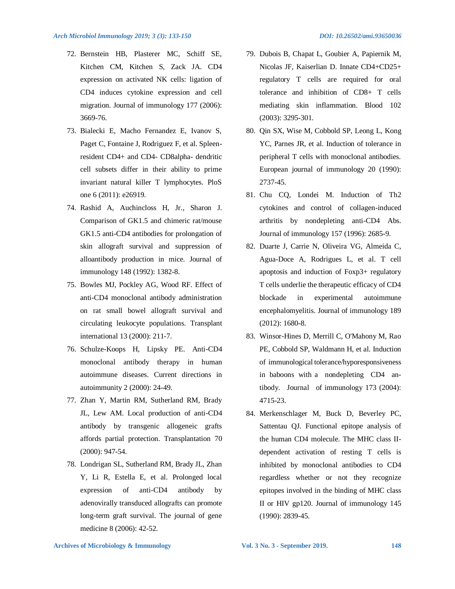- 72. Bernstein HB, Plasterer MC, Schiff SE, Kitchen CM, Kitchen S, Zack JA. CD4 expression on activated NK cells: ligation of CD4 induces cytokine expression and cell migration. Journal of immunology 177 (2006): 3669-76.
- 73. Bialecki E, Macho Fernandez E, Ivanov S, Paget C, Fontaine J, Rodriguez F, et al. Spleenresident CD4+ and CD4- CD8alpha- dendritic cell subsets differ in their ability to prime invariant natural killer T lymphocytes. PloS one 6 (2011): e26919.
- 74. Rashid A, Auchincloss H, Jr., Sharon J. Comparison of GK1.5 and chimeric rat/mouse GK1.5 anti-CD4 antibodies for prolongation of skin allograft survival and suppression of alloantibody production in mice. Journal of immunology 148 (1992): 1382-8.
- 75. Bowles MJ, Pockley AG, Wood RF. Effect of anti-CD4 monoclonal antibody administration on rat small bowel allograft survival and circulating leukocyte populations. Transplant international 13 (2000): 211-7.
- 76. Schulze-Koops H, Lipsky PE. Anti-CD4 monoclonal antibody therapy in human autoimmune diseases. Current directions in autoimmunity 2 (2000): 24-49.
- 77. Zhan Y, Martin RM, Sutherland RM, Brady JL, Lew AM. Local production of anti-CD4 antibody by transgenic allogeneic grafts affords partial protection. Transplantation 70 (2000): 947-54.
- 78. Londrigan SL, Sutherland RM, Brady JL, Zhan Y, Li R, Estella E, et al. Prolonged local expression of anti-CD4 antibody by adenovirally transduced allografts can promote long-term graft survival. The journal of gene medicine 8 (2006): 42-52.
- 79. Dubois B, Chapat L, Goubier A, Papiernik M, Nicolas JF, Kaiserlian D. Innate CD4+CD25+ regulatory T cells are required for oral tolerance and inhibition of CD8+ T cells mediating skin inflammation. Blood 102 (2003): 3295-301.
- 80. Qin SX, Wise M, Cobbold SP, Leong L, Kong YC, Parnes JR, et al. Induction of tolerance in peripheral T cells with monoclonal antibodies. European journal of immunology 20 (1990): 2737-45.
- 81. Chu CQ, Londei M. Induction of Th2 cytokines and control of collagen-induced arthritis by nondepleting anti-CD4 Abs. Journal of immunology 157 (1996): 2685-9.
- 82. Duarte J, Carrie N, Oliveira VG, Almeida C, Agua-Doce A, Rodrigues L, et al. T cell apoptosis and induction of Foxp3+ regulatory T cells underlie the therapeutic efficacy of CD4 blockade in experimental autoimmune encephalomyelitis. Journal of immunology 189 (2012): 1680-8.
- 83. Winsor-Hines D, Merrill C, O'Mahony M, Rao PE, Cobbold SP, Waldmann H, et al. Induction of immunological tolerance/hyporesponsiveness in baboons with a nondepleting CD4 antibody. Journal of immunology 173 (2004): 4715-23.
- 84. Merkenschlager M, Buck D, Beverley PC, Sattentau QJ. Functional epitope analysis of the human CD4 molecule. The MHC class IIdependent activation of resting T cells is inhibited by monoclonal antibodies to CD4 regardless whether or not they recognize epitopes involved in the binding of MHC class II or HIV gp120. Journal of immunology 145 (1990): 2839-45.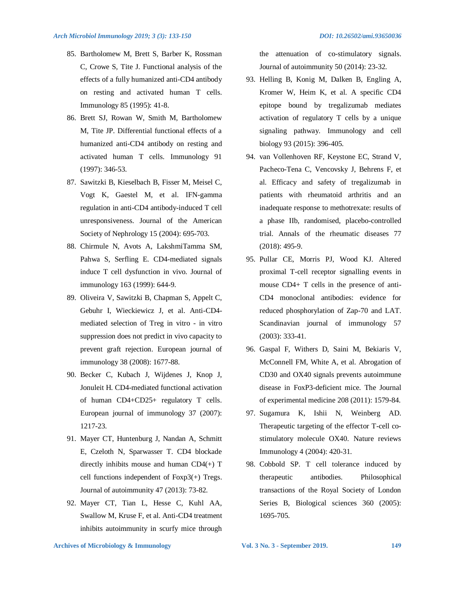- 85. Bartholomew M, Brett S, Barber K, Rossman C, Crowe S, Tite J. Functional analysis of the effects of a fully humanized anti-CD4 antibody on resting and activated human T cells. Immunology 85 (1995): 41-8.
- 86. Brett SJ, Rowan W, Smith M, Bartholomew M, Tite JP. Differential functional effects of a humanized anti-CD4 antibody on resting and activated human T cells. Immunology 91 (1997): 346-53.
- 87. Sawitzki B, Kieselbach B, Fisser M, Meisel C, Vogt K, Gaestel M, et al. IFN-gamma regulation in anti-CD4 antibody-induced T cell unresponsiveness. Journal of the American Society of Nephrology 15 (2004): 695-703.
- 88. Chirmule N, Avots A, LakshmiTamma SM, Pahwa S, Serfling E. CD4-mediated signals induce T cell dysfunction in vivo. Journal of immunology 163 (1999): 644-9.
- 89. Oliveira V, Sawitzki B, Chapman S, Appelt C, Gebuhr I, Wieckiewicz J, et al. Anti-CD4 mediated selection of Treg in vitro - in vitro suppression does not predict in vivo capacity to prevent graft rejection. European journal of immunology 38 (2008): 1677-88.
- 90. Becker C, Kubach J, Wijdenes J, Knop J, Jonuleit H. CD4-mediated functional activation of human CD4+CD25+ regulatory T cells. European journal of immunology 37 (2007): 1217-23.
- 91. Mayer CT, Huntenburg J, Nandan A, Schmitt E, Czeloth N, Sparwasser T. CD4 blockade directly inhibits mouse and human CD4(+) T cell functions independent of Foxp3(+) Tregs. Journal of autoimmunity 47 (2013): 73-82.
- 92. Mayer CT, Tian L, Hesse C, Kuhl AA, Swallow M, Kruse F, et al. Anti-CD4 treatment inhibits autoimmunity in scurfy mice through

the attenuation of co-stimulatory signals. Journal of autoimmunity 50 (2014): 23-32.

- 93. Helling B, Konig M, Dalken B, Engling A, Kromer W, Heim K, et al. A specific CD4 epitope bound by tregalizumab mediates activation of regulatory T cells by a unique signaling pathway. Immunology and cell biology 93 (2015): 396-405.
- 94. van Vollenhoven RF, Keystone EC, Strand V, Pacheco-Tena C, Vencovsky J, Behrens F, et al. Efficacy and safety of tregalizumab in patients with rheumatoid arthritis and an inadequate response to methotrexate: results of a phase IIb, randomised, placebo-controlled trial. Annals of the rheumatic diseases 77 (2018): 495-9.
- 95. Pullar CE, Morris PJ, Wood KJ. Altered proximal T-cell receptor signalling events in mouse CD4+ T cells in the presence of anti-CD4 monoclonal antibodies: evidence for reduced phosphorylation of Zap-70 and LAT. Scandinavian journal of immunology 57 (2003): 333-41.
- 96. Gaspal F, Withers D, Saini M, Bekiaris V, McConnell FM, White A, et al. Abrogation of CD30 and OX40 signals prevents autoimmune disease in FoxP3-deficient mice. The Journal of experimental medicine 208 (2011): 1579-84.
- 97. Sugamura K, Ishii N, Weinberg AD. Therapeutic targeting of the effector T-cell costimulatory molecule OX40. Nature reviews Immunology 4 (2004): 420-31.
- 98. Cobbold SP. T cell tolerance induced by therapeutic antibodies. Philosophical transactions of the Royal Society of London Series B, Biological sciences 360 (2005): 1695-705.